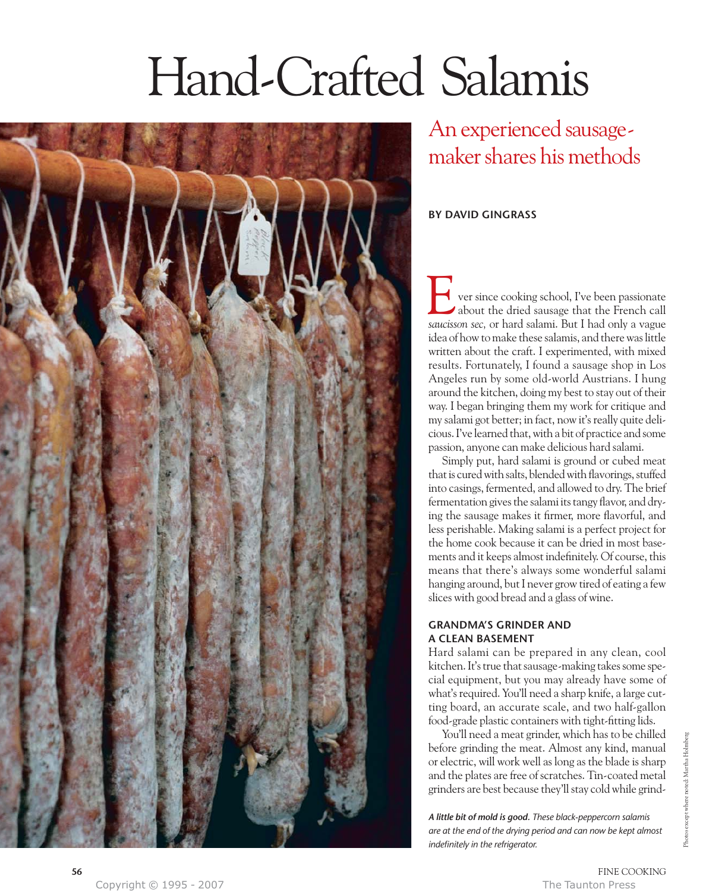# Hand-Crafted Salamis



An experienced sausagemaker shares his methods

# **BY DAVID GINGRASS**

ver since cooking school, I've been passionate about the dried sausage that the French call **1** ver since cooking school, I've been passionate about the dried sausage that the French call saucisson sec, or hard salami. But I had only a vague idea of how to make these salamis, and there was little written about the craft. I experimented, with mixed results. Fortunately, I found a sausage shop in Los Angeles run by some old-world Austrians. I hung around the kitchen, doing my best to stay out of their way. I began bringing them my work for critique and my salami got better; in fact, now it's really quite delicious. I've learned that, with a bit of practice and some passion, anyone can make delicious hard salami.

Simply put, hard salami is ground or cubed meat that is cured with salts, blended with flavorings, stuffed into casings, fermented, and allowed to dry. The brief fermentation gives the salami its tangy flavor, and drying the sausage makes it firmer, more flavorful, and less perishable. Making salami is a perfect project for the home cook because it can be dried in most basements and it keeps almost indefinitely. Of course, this means that there's always some wonderful salami hanging around, but I never grow tired of eating a few slices with good bread and a glass of wine.

# **GRANDMA'S GRINDER AND A CLEAN BASEMENT**

Hard salami can be prepared in any clean, cool kitchen. It's true that sausage-making takes some special equipment, but you may already have some of what's required. You'll need a sharp knife, a large cutting board, an accurate scale, and two half-gallon food-grade plastic containers with tight-fitting lids.

You'll need a meat grinder, which has to be chilled before grinding the meat. Almost any kind, manual or electric, will work well as long as the blade is sharp and the plates are free of scratches. Tin-coated metal grinders are best because they'll stay cold while grind-

*A little bit of mold is good. These black-peppercorn salamis are at the end of the drying period and can now be kept almost indefinitely in the refrigerator.*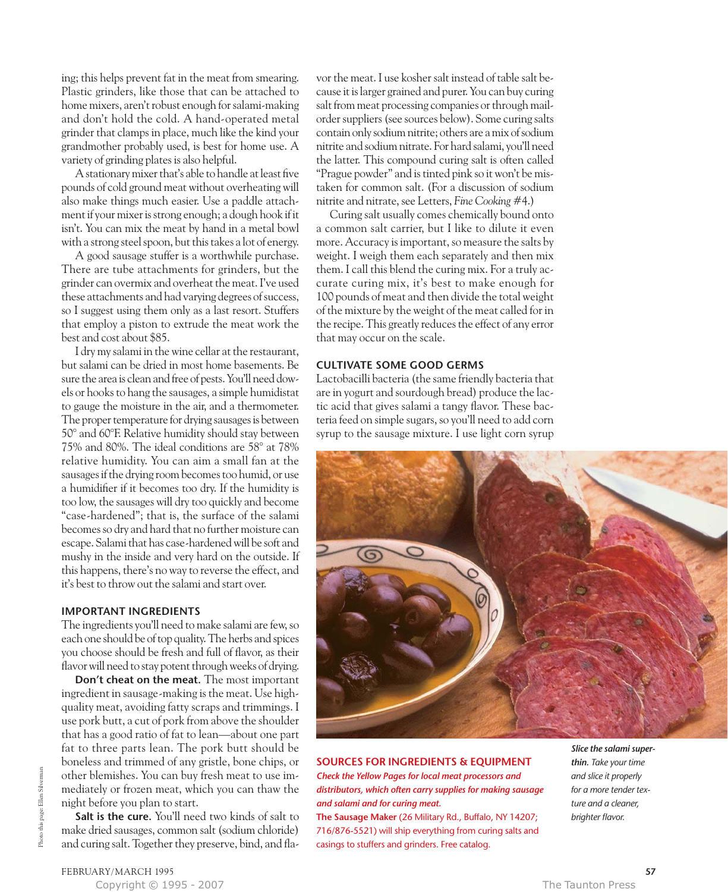ing; this helps prevent fat in the meat from smearing. Plastic grinders, like those that can be attached to home mixers, aren't robust enough for salami-making and don't hold the cold. A hand-operated metal grinder that clamps in place, much like the kind your grandmother probably used, is best for home use. A variety of grinding plates is also helpful.

A stationary mixer that's able to handle at least five pounds of cold ground meat without overheating will also make things much easier. Use a paddle attachment if your mixer is strong enough; a dough hook if it isn't. You can mix the meat by hand in a metal bowl with a strong steel spoon, but this takes a lot of energy.

A good sausage stuffer is a worthwhile purchase. There are tube attachments for grinders, but the grinder can overmix and overheat the meat. I've used these attachments and had varying degrees of success, so I suggest using them only as a last resort. Stuffers that employ a piston to extrude the meat work the best and cost about \$85.

I dry my salami in the wine cellar at the restaurant, but salami can be dried in most home basements. Be sure the area is clean and free of pests. You'll need dowels or hooks to hang the sausages, a simple humidistat to gauge the moisture in the air, and a thermometer. The proper temperature for drying sausages is between 50° and 60°F. Relative humidity should stay between 75% and 80%. The ideal conditions are 58° at 78% relative humidity. You can aim a small fan at the sausages if the drying room becomes too humid, or use a humidifier if it becomes too dry. If the humidity is too low, the sausages will dry too quickly and become "case-hardened"; that is, the surface of the salami becomes so dry and hard that no further moisture can escape. Salami that has case-hardened will be soft and mushy in the inside and very hard on the outside. If this happens, there's no way to reverse the effect, and it's best to throw out the salami and start over.

### **IMPORTANT INGREDIENTS**

The ingredients you'll need to make salami are few, so each one should be of top quality. The herbs and spices you choose should be fresh and full of flavor, as their flavor will need to stay potent through weeks of drying.

**Don't cheat on the meat.** The most important ingredient in sausage-making is the meat. Use highquality meat, avoiding fatty scraps and trimmings. I use pork butt, a cut of pork from above the shoulder that has a good ratio of fat to lean—about one part fat to three parts lean. The pork butt should be boneless and trimmed of any gristle, bone chips, or other blemishes. You can buy fresh meat to use immediately or frozen meat, which you can thaw the night before you plan to start.

**Salt is the cure.** You'll need two kinds of salt to make dried sausages, common salt (sodium chloride) and curing salt. Together they preserve, bind, and flavor the meat. I use kosher salt instead of table salt because it is larger grained and purer. You can buy curing salt from meat processing companies or through mailorder suppliers (see sources below). Some curing salts contain only sodium nitrite; others are a mix of sodium nitrite and sodium nitrate. For hard salami, you'll need the latter. This compound curing salt is often called "Prague powder" and is tinted pink so it won't be mistaken for common salt. (For a discussion of sodium nitrite and nitrate, see Letters, *Fine Cooking* #4.)

Curing salt usually comes chemically bound onto a common salt carrier, but I like to dilute it even more. Accuracy is important, so measure the salts by weight. I weigh them each separately and then mix them. I call this blend the curing mix. For a truly accurate curing mix, it's best to make enough for 100 pounds of meat and then divide the total weight of the mixture by the weight of the meat called for in the recipe. This greatly reduces the effect of any error that may occur on the scale.

## **CULTIVATE SOME GOOD GERMS**

Lactobacilli bacteria (the same friendly bacteria that are in yogurt and sourdough bread) produce the lactic acid that gives salami a tangy flavor. These bacteria feed on simple sugars, so you'll need to add corn syrup to the sausage mixture. I use light corn syrup



# **SOURCES FOR INGREDIENTS & EQUIPMENT**

*Check the Yellow Pages for local meat processors and distributors, which often carry supplies for making sausage and salami and for curing meat.*

**The Sausage Maker** (26 Military Rd., Buffalo, NY 14207; 716/876-5521) will ship everything from curing salts and casings to stuffers and grinders. Free catalog.

*Slice the salami superthin. Take your time and slice it properly for a more tender texture and a cleaner, brighter flavor.*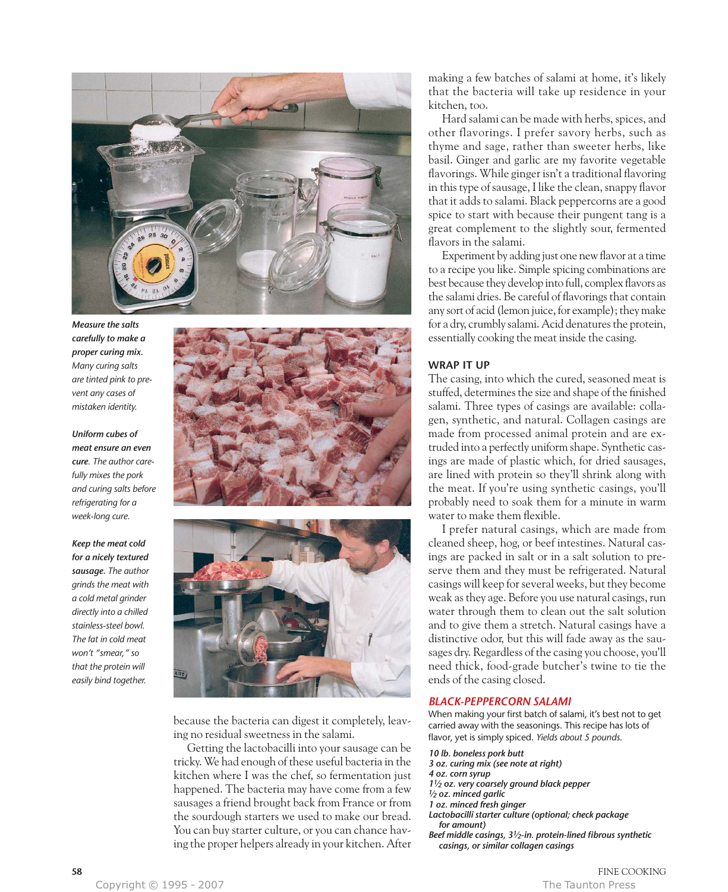

*Measure the salts carefully to make a proper curing mix. Many curing salts are tinted pink to prevent any cases of mistaken identity.*

*Uniform cubes of meat ensure an even cure. The author carefully mixes the pork and curing salts before refrigerating for a week-long cure.*

*Keep the meat cold for a nicely textured sausage. The author grinds the meat with a cold metal grinder directly into a chilled stainless-steel bowl. The fat in cold meat won't "smear," so that the protein will easily bind together.*





because the bacteria can digest it completely, leaving no residual sweetness in the salami.

Getting the lactobacilli into your sausage can be tricky. We had enough of these useful bacteria in the kitchen where I was the chef, so fermentation just happened. The bacteria may have come from a few sausages a friend brought back from France or from the sourdough starters we used to make our bread. You can buy starter culture, or you can chance having the proper helpers already in your kitchen. After making a few batches of salami at home, it's likely that the bacteria will take up residence in your kitchen, too.

Hard salami can be made with herbs, spices, and other flavorings. I prefer savory herbs, such as thyme and sage, rather than sweeter herbs, like basil. Ginger and garlic are my favorite vegetable flavorings. While ginger isn't a traditional flavoring in this type of sausage, I like the clean, snappy flavor that it adds to salami. Black peppercorns are a good spice to start with because their pungent tang is a great complement to the slightly sour, fermented flavors in the salami.

Experiment by adding just one new flavor at a time to a recipe you like. Simple spicing combinations are best because they develop into full, complex flavors as the salami dries. Be careful of flavorings that contain any sort of acid (lemon juice, for example); they make for a dry, crumbly salami. Acid denatures the protein, essentially cooking the meat inside the casing.

## **WRAP IT UP**

The casing, into which the cured, seasoned meat is stuffed, determines the size and shape of the finished salami. Three types of casings are available: collagen, synthetic, and natural. Collagen casings are made from processed animal protein and are extruded into a perfectly uniform shape. Synthetic casings are made of plastic which, for dried sausages, are lined with protein so they'll shrink along with the meat. If you're using synthetic casings, you'll probably need to soak them for a minute in warm water to make them flexible.

I prefer natural casings, which are made from cleaned sheep, hog, or beef intestines. Natural casings are packed in salt or in a salt solution to preserve them and they must be refrigerated. Natural casings will keep for several weeks, but they become weak as they age. Before you use natural casings, run water through them to clean out the salt solution and to give them a stretch. Natural casings have a distinctive odor, but this will fade away as the sausages dry. Regardless of the casing you choose, you'll need thick, food-grade butcher's twine to tie the ends of the casing closed.

### *BLACK-PEPPERCORN SALAMI*

When making your first batch of salami, it's best not to get carried away with the seasonings. This recipe has lots of flavor, yet is simply spiced. *Yields about 5 pounds.*

*10 lb. boneless pork butt 3 oz. curing mix (see note at right) 4 oz. corn syrup 11⁄2 oz. very coarsely ground black pepper 1⁄2 oz. minced garlic 1 oz. minced fresh ginger Lactobacilli starter culture (optional; check package for amount) Beef middle casings, 31⁄2-in. protein-lined fibrous synthetic*

*casings, or similar collagen casings*